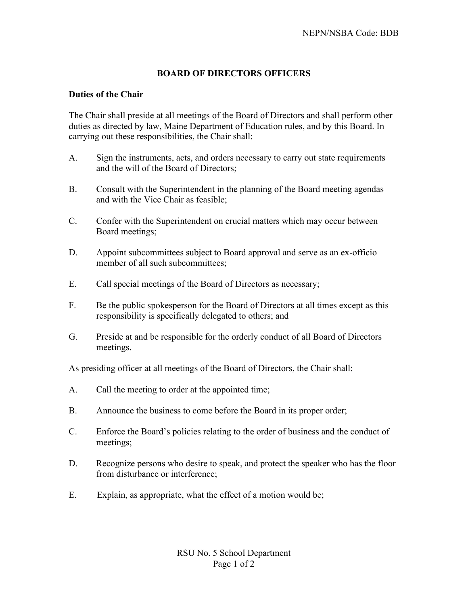## **BOARD OF DIRECTORS OFFICERS**

## **Duties of the Chair**

The Chair shall preside at all meetings of the Board of Directors and shall perform other duties as directed by law, Maine Department of Education rules, and by this Board. In carrying out these responsibilities, the Chair shall:

- A. Sign the instruments, acts, and orders necessary to carry out state requirements and the will of the Board of Directors;
- B. Consult with the Superintendent in the planning of the Board meeting agendas and with the Vice Chair as feasible;
- C. Confer with the Superintendent on crucial matters which may occur between Board meetings;
- D. Appoint subcommittees subject to Board approval and serve as an ex-officio member of all such subcommittees:
- E. Call special meetings of the Board of Directors as necessary;
- F. Be the public spokesperson for the Board of Directors at all times except as this responsibility is specifically delegated to others; and
- G. Preside at and be responsible for the orderly conduct of all Board of Directors meetings.

As presiding officer at all meetings of the Board of Directors, the Chair shall:

- A. Call the meeting to order at the appointed time;
- B. Announce the business to come before the Board in its proper order;
- C. Enforce the Board's policies relating to the order of business and the conduct of meetings;
- D. Recognize persons who desire to speak, and protect the speaker who has the floor from disturbance or interference;
- E. Explain, as appropriate, what the effect of a motion would be;

RSU No. 5 School Department Page 1 of 2